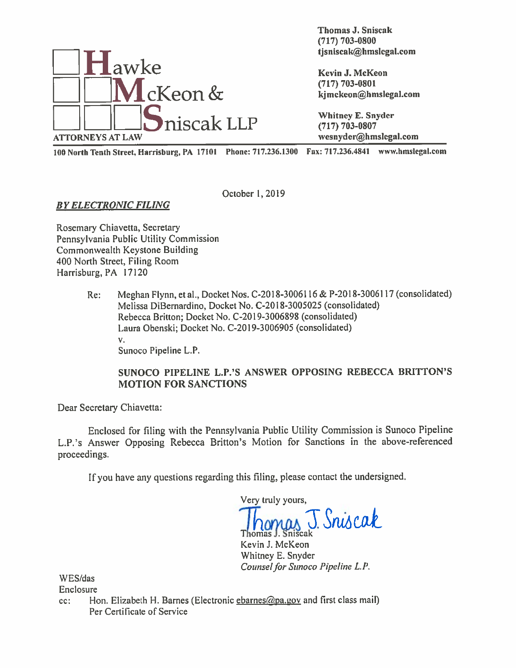

Thomas J. Sniscak (717) 703-0800

<sup>100</sup> North Tenth Street, Harrisburg, PA <sup>17101</sup> Phone: 717.236.1300 Fax: 717.236.4841 www.hmsIegal.com

October 1,2019

BY ELECTRONIC FILING

Rosemary Chiavetta, Secretary Pennsylvania Public Utility Commission Commonwealth Keystone Building 400 North Street, Filing Room Harrisburg, PA 17120

> Re: Meghan Flynn, et al., Docket Nos. C-2018-3006116 & P-2018-3006117 (consolidated) Melissa DiBernardino, Docket No. C-20 18-3005025 (consolidated) Rebecca Britton; Docket No. C-2019-3006898 (consolidated) Laura Obenski; Docket No. C-2019-3006905 (consolidated) V. Sunoco Pipeline L.P.

# SUNOCO PIPELINE L.P.'S ANSWER OPPOSING REBECCA BRITTON'S MOTION FOR SANCTIONS

Dear Secretary Chiavetta:

Enclosed for filing with the Pennsylvania Public Utility Commission is Sunoco Pipeline L.P.'s Answer Opposing Rebecca Britton's Motion for Sanctions in the above-referenced proceedings.

If you have any questions regarding this filing, <sup>p</sup>lease contact the undersigned.

Very truly yours,

Sniscak Thomas J. Sniscak

Kevin 3. McKeon Whitney E. Snyder Counsel for Sunoco Pipeline L.P.

\VES/das

Enclosure

cc: Hon. Elizabeth H. Barnes (Electronic ebarnes  $\omega_{\text{pa,EOV}}$  and first class mail) Per Certificate of Service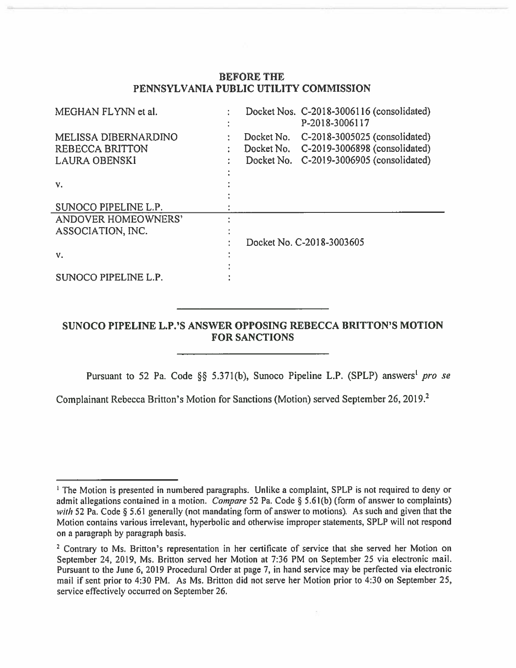# BEFORE THE PENNSYLVANIA PUBLIC UTILITY COMMISSION

| MEGHAN FLYNN et al.                                   |            | Docket Nos. C-2018-3006116 (consolidated)<br>P-2018-3006117               |
|-------------------------------------------------------|------------|---------------------------------------------------------------------------|
| <b>MELISSA DIBERNARDINO</b><br><b>REBECCA BRITTON</b> | Docket No. | C-2018-3005025 (consolidated)<br>Docket No. C-2019-3006898 (consolidated) |
| <b>LAURA OBENSKI</b>                                  | Docket No. | C-2019-3006905 (consolidated)                                             |
| V.                                                    |            |                                                                           |
| SUNOCO PIPELINE L.P.                                  |            |                                                                           |
| ANDOVER HOMEOWNERS'                                   |            |                                                                           |
| ASSOCIATION, INC.                                     |            |                                                                           |
|                                                       |            | Docket No. C-2018-3003605                                                 |
| V.                                                    |            |                                                                           |
| SUNOCO PIPELINE L.P.                                  |            |                                                                           |
|                                                       |            |                                                                           |

# SUNOCO PIPELINE L.P.'S ANSWER OPPOSING REBECCA BRITTON'S MOTION FOR SANCTIONS

Pursuant to 52 Pa. Code §§ 5.371(b), Sunoco Pipeline L.P. (SPLP) answers<sup>1</sup> pro se

Complainant Rebecca Britton's Motion for Sanctions (Motion) served September 26, 2019.<sup>2</sup>

<sup>&</sup>lt;sup>1</sup> The Motion is presented in numbered paragraphs. Unlike a complaint, SPLP is not required to deny or admit allegations contained in a motion. *Compare* 52 Pa. Code § 5.61(b) (form of answer to complaints) with 52 Pa. Code § 5.61 generally (not mandating form of answer to motions). As such and given that the Motion contains various irrelevant, hyperbolic and otherwise improper statements, SPLP will not respond on <sup>a</sup> paragraph by paragraph basis.

 $2$  Contrary to Ms. Britton's representation in her certificate of service that she served her Motion on September 24, 2019, Ms. Britton served her Motion at 7:36 PM on September 25 via electronic mail. Pursuant to the June 6, 2019 Procedural Order at page 7, in hand service may be perfected via electronic mail if sent prior to 4:30 PM. As Ms. Britton did not serve her Motion prior to 4:30 on September 25, service effectively occurred on September 26.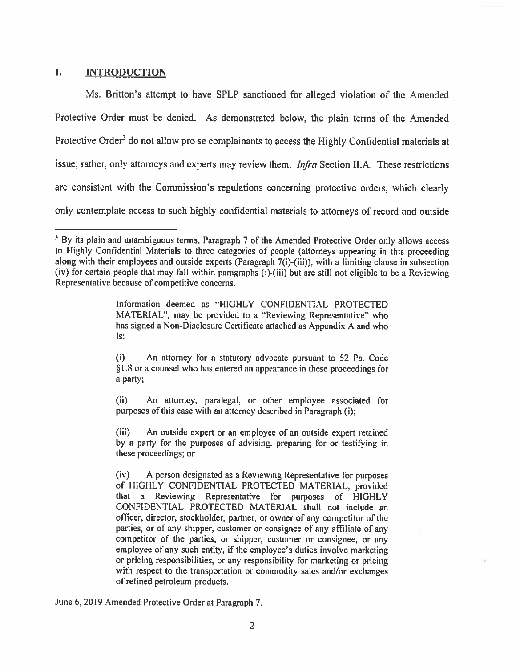# I. INTRODUCTION

Ms. Britton's attempt to have SPLP sanctioned for alleged violation of the Amended Protective Order must be denied. As demonstrated below, the <sup>p</sup>lain terms of the Amended Protective Order<sup>3</sup> do not allow pro se complainants to access the Highly Confidential materials at issue; rather, only attorneys and experts may review them. *Infra* Section II.A. These restrictions are consistent with the Commission's regulations concerning protective orders, which clearly only contemplate access to such highly confidential materials to attorneys of record and outside

June 6,2019 Amended Protective Order at Paragraph 7.

 $3$  By its plain and unambiguous terms, Paragraph 7 of the Amended Protective Order only allows access to Highly Confidential Materials to three categories of people (attorneys appearing in this proceeding along with their employees and outside experts (Paragraph 7(i)-(iii)), with a limiting clause in subsection (iv) for certain people that may fall within paragraphs (i)-(iii) but are still not eligible to be <sup>a</sup> Reviewing Representative because of competitive concerns.

Information deemed as "HIGHLY CONFIDENTIAL PROTECTED MATERIAL", may be provided to <sup>a</sup> "Reviewing Representative" who has signed <sup>a</sup> Non-Disclosure Certificate attached as Appendix A and who is:

<sup>(</sup>i) An attorney for <sup>a</sup> statutory advocate pursuan<sup>t</sup> to 52 Pa. Code § 1.8 or <sup>a</sup> counsel who has entered an appearance in these proceedings for <sup>a</sup> party;

<sup>(</sup>ii) An attorney, paralegal, or other employee associated for purposes of this case with an attorney described in Paragraph (i);

<sup>(</sup>iii) An outside exper<sup>t</sup> or an employee of an outside exper<sup>t</sup> retained by <sup>a</sup> party for the purposes of advising, preparing for or testifying in these proceedings; or

<sup>(</sup>iv) <sup>A</sup> person designated as <sup>a</sup> Reviewing Representative for purposes of HIGHLY CONFIDENTIAL PROTECTED MATERIAL, provided that <sup>a</sup> Reviewing Representative for purposes of HIGHLY CONFIDENTIAL PROTECTED MATERIAL shall not include an officer, director, stockholder, partner, or owner of any competitor of the parties, or of any shipper, customer or consignee of any affiliate of any competitor of the parties, or shipper, customer or consignee, or any employee of any such entity, if the employee's duties involve marketing or pricing responsibilities, or any responsibility for marketing or pricing with respec<sup>t</sup> to the transportation or commodity sales and/or exchanges of refined petroleum products.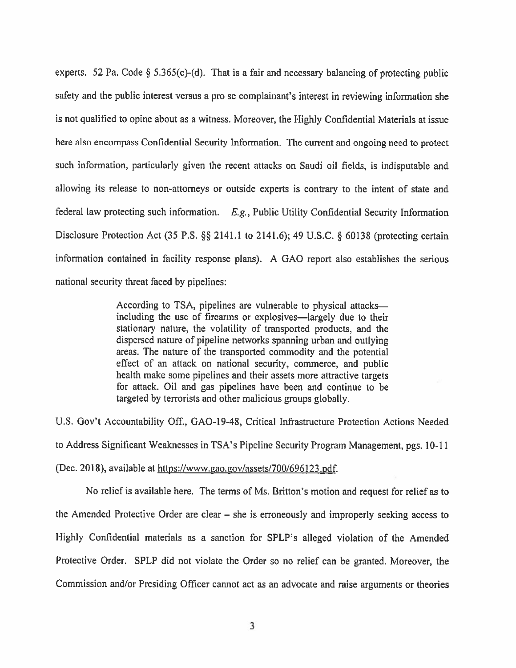experts. 52 Pa. Code  $\S$  5.365(c)-(d). That is a fair and necessary balancing of protecting public safety and the public interest versus <sup>a</sup> pro se complainant's interest in reviewing information she is not qualified to opine about as <sup>a</sup> witness. Moreover, the Highly Confidential Materials at issue here also encompass Confidential Security Information. The current and ongoing need to protect such information, particularly <sup>g</sup>iven the recent attacks on Saudi oil fields, is indisputable and allowing its release to non-attorneys or outside experts is contrary to the intent of state and federal law protecting such information.  $E.g.,$  Public Utility Confidential Security Information Disclosure Protection Act (35 P.S. §§ 2141.1 to 2141.6); 49 U.S.C. § 60138 (protecting certain information contained in facility response <sup>p</sup>lans). <sup>A</sup> GAO repor<sup>t</sup> also establishes the serious national security threat faced by pipelines:

> According to TSA, <sup>p</sup>ipelines are vulnerable to <sup>p</sup>hysical attacks including the use of firearms or explosives—largely due to their stationary nature, the volatility of transported products, and the dispersed nature of <sup>p</sup>ipeline networks spanning urban and outlying areas. The nature of the transported commodity and the potential effect of an attack on national security, commerce, and public health make some <sup>p</sup>ipelines and their assets more attractive targets for attack. Oil and gas pipelines have been and continue to be targeted by terrorists and other malicious groups globally.

U.S. Gov't Accountability Off., GAO-l9-48, Critical Infrastructure Protection Actions Needed to Address Significant Weaknesses in TSA's Pipeline Security Program Management, pgs. 10-Il (Dec. 2018), available at https://www.gao.gov/assets/700/696123.pdf.

No relief is available here. The terms of Ms. Britton's motion and request for relief as to the Amended Protective Order are clear — she is erroneously and improperly seeking access to Highly Confidential materials as <sup>a</sup> sanction for SPLP's alleged violation of the Amended Protective Order. SPLP did not violate the Order so no relief can be granted. Moreover, the Commission and/or Presiding Officer cannot act as an advocate and raise arguments or theories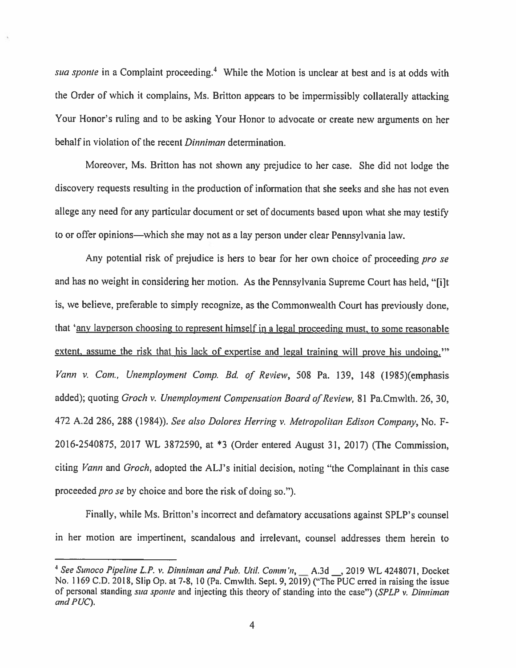sua sponte in a Complaint proceeding.<sup>4</sup> While the Motion is unclear at best and is at odds with the Order of which it complains, Ms. Britton appears to be impermissibly collaterally attacking Your Honor's ruling and to be asking Your Honor to advocate or create new arguments on her behalf in violation of the recent *Dinniman* determination.

Moreover, Ms. Britton has not shown any prejudice to her case. She did not lodge the discovery requests resulting in the production of information that she seeks and she has not even allege any need for any particular document or set of documents based upon what she may testify to or offer opinions—which she may not as <sup>a</sup> lay person under clear Pennsylvania law.

Any potential risk of prejudice is hers to bear for her own choice of proceeding pro se and has no weight in considering her motion. As the Pennsylvania Supreme Court has held, "[i]t is, we believe, preferable to simply recognize, as the Commonwealth Court has previously done, that 'any layperson choosing to represen<sup>t</sup> himself in <sup>a</sup> legal proceeding must, to some reasonable extent, assume the risk that his lack of expertise and legal training will prove his undoing." Vann v. Com., Unemployment Comp. Bd. of Review, 508 Pa. 139, 148 (1985)(emphasis added); quoting Groch v. Unemployment Compensation Board of Review, 81 Pa.Cmwlth. 26, 30, <sup>472</sup> A.2d 286, <sup>288</sup> (1984)). See also Dolores Herring v. Metropolitan Edison Company, No. F-2016-2540875, <sup>2017</sup> WL 3872590, at \*3 (Order entered August 31, 2017) (The Commission, citing Vann and Groch, adopted the ALJ's initial decision, noting "the Complainant in this case proceeded *pro se* by choice and bore the risk of doing so.").

Finally, while Ms. Britton's incorrect and defamatory accusations against SPLP's counsel in her motion are impertinent, scandalous and irrelevant, counsel addresses them herein to

<sup>&</sup>lt;sup>4</sup> See Sunoco Pipeline L.P. v. Dinniman and Pub. Util. Comm'n,  $\_\_\_$ A.3d  $\_\_$ , 2019 WL 4248071, Docket No, <sup>1169</sup> C.D. 2018, Slip Op. at 7-8, <sup>10</sup> (Pa. Cmwlth. Sept. 9,2019) ("The PUC erred in raising the issue of personal standing sua sponte and injecting this theory of standing into the case") (SPLP v. Dinniman and PUC).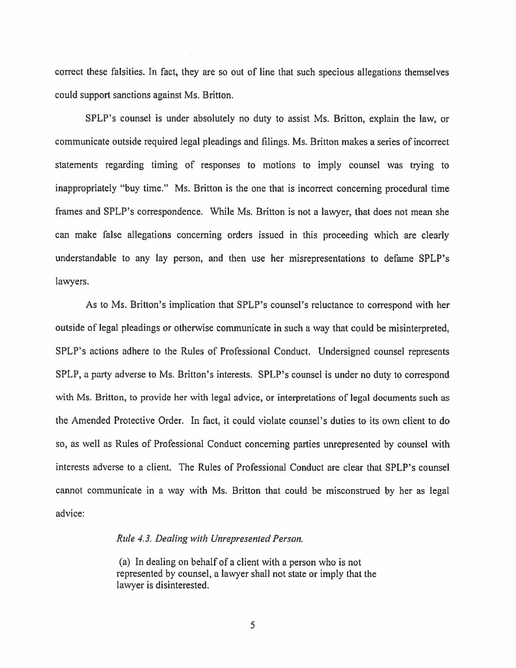correct these falsities. In fact, they are so out of line that such specious allegations themselves could suppor<sup>t</sup> sanctions against Ms. Britton.

SPLP's counsel is under absolutely no duty to assist Ms. Britton, explain the law, or communicate outside required legal pleadings and filings. Ms. Britton makes <sup>a</sup> series of incorrect statements regarding timing of responses to motions to imply counsel was trying to inappropriately "buy time." Ms. Britton is the one that is incorrect concerning procedural time frames and SPLP's correspondence. While Ms. Britton is not <sup>a</sup> lawyer, that does not mean she can make false allegations concerning orders issued in this proceeding which are clearly understandable to any lay person, and then use her misrepresentations to defame SPLP's lawyers.

As to Ms. Britton's implication that SPLP's counsel's reluctance to correspond with her outside of legal pleadings or otherwise communicate in such <sup>a</sup> way that could be misinterpreted, SPLP's actions adhere to the Rules of Professional Conduct. Undersigned counsel represents SPLP, <sup>a</sup> party adverse to Ms. Britton's interests. SPLP's counsel is under no duty to correspond with Ms. Britton, to provide her with legal advice, or interpretations of legal documents such as the Amended Protective Order. In fact, it could violate counsel's duties to its own client to do so, as well as Rules of Professional Conduct concerning parties unrepresented by counsel with interests adverse to <sup>a</sup> client. The Rules of Professional Conduct are clear that SPLP's counsel cannot communicate in <sup>a</sup> way with Ms. Britton that could be misconstrued by her as legal advice:

# Ride 4.3. Dealing with Unrepresented Person.

(a) In dealing on behalf of <sup>a</sup> client with <sup>a</sup> person who is not represented by counsel, <sup>a</sup> lawyer shall not state or imply that the lawyer is disinterested.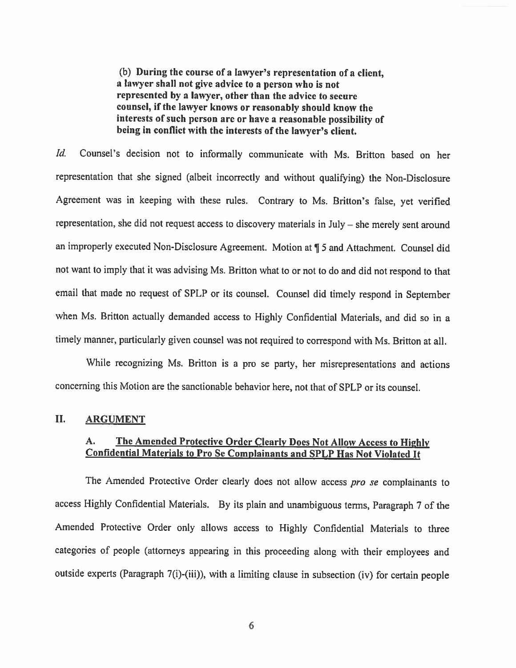(b) During the course of <sup>a</sup> lawyer's representation of <sup>a</sup> client, <sup>a</sup> lawyer shall not give advice to <sup>a</sup> person who is not represented by <sup>a</sup> lawyer, other than the advice to secure counsel, if the lawyer knows or reasonably should know the interests of such person are or have <sup>a</sup> reasonable possibility of being in conflict with the interests of the lawyer's client.

Id. Counsel's decision not to informally communicate with Ms. Britton based on her representation that she signed (albeit incorrectly and without qualifying) the Non-Disclosure Agreement was in keeping with these rules. Contrary to Ms. Britton's false, yet verified representation, she did not request access to discovery materials in July — she merely sent around an improperly executed Non-Disclosure Agreement. Motion at ¶ <sup>5</sup> and Attachment. Counsel did not want to imply that it was advising Ms. Britton what to or not to do and did not respond to that email that made no request of SPLP or its counsel. Counsel did timely respond in September when Ms. Britton actually demanded access to Highly Confidential Materials, and did so in <sup>a</sup> timely manner, particularly given counsel was not required to correspond with Ms. Britton at all.

'While recognizing Ms. Britton is <sup>a</sup> pro se party, her misrepresentations and actions concerning this Motion are the sanctionable behavior here, not that of SPLP or its counsel.

### II. ARGUMENT

# A. The Amended Protective Order Clearly Does Not Allow Access to Highly Confidential Materials to Pro Sc Complainants and SPLP Has Not Violated It

The Amended Protective Order clearly does not allow access pro se complainants to access Highly Confidential Materials. By its <sup>p</sup>lain and unambiguous terms, Paragraph <sup>7</sup> of the Amended Protective Order only allows access to Highly Confidential Materials to three categories of people (attorneys appearing in this proceeding along with their employees and outside experts (Paragraph 7(i)-(iii)), with <sup>a</sup> limiting clause in subsection (iv) for certain people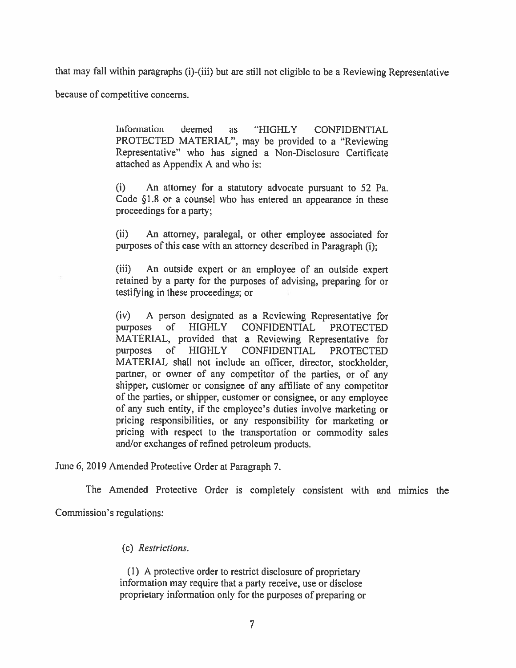that may fall within paragraphs (i)-(iii) but are still not eligible to be <sup>a</sup> Reviewing Representative

because of competitive concerns.

Information deemed as "HIGHLY CONFIDENTIAL PROTECTED MATERIAL", may be provided to <sup>a</sup> "Reviewing Representative" who has signed <sup>a</sup> Non-Disclosure Certificate attached as Appendix A and who is:

(i) An attorney for <sup>a</sup> statutory advocate pursuan<sup>t</sup> to 52 Pa. Code §1.8 or <sup>a</sup> counsel who has entered an appearance in these proceedings for <sup>a</sup> party;

(ii) An attorney, paralegal, or other employee associated for purposes of this case with an attorney described in Paragraph (i);

(iii) An outside exper<sup>t</sup> or an employee of an outside exper<sup>t</sup> retained by <sup>a</sup> party for the purposes of advising, preparing for or testifying in these proceedings; or

(iv) A person designated as <sup>a</sup> Reviewing Representative for purposes of HIGHLY CONFIDENTIAL PROTECTED MATERIAL, provided that <sup>a</sup> Reviewing Representative for purposes of HIGHLY CONFIDENTIAL PROTECTED MATERIAL shall not include an officer, director, stockholder, partner, or owner of any competitor of the parties, or of any shipper, customer or consignee of any affiliate of any competitor of the parties, or shipper, customer or consignee, or any employee of any such entity, if the employee's duties involve marketing or pricing responsibilities, or any responsibility for marketing or pricing with respec<sup>t</sup> to the transportation or commodity sales and/or exchanges of refined petroleum products.

June 6, 2019 Amended Protective Order at Paragraph 7.

The Amended Protective Order is completely consistent with and mimics the

Commission's regulations:

## (c) Restrictions.

(1) <sup>A</sup> protective order to restrict disclosure of proprietary information may require that <sup>a</sup> party receive, use or disclose proprietary information only for the purposes of preparing or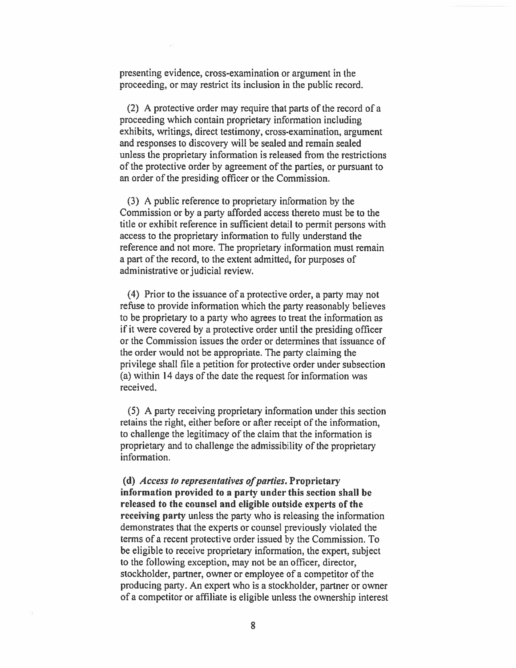presenting evidence, cross-examination or argumen<sup>t</sup> in the proceeding, or may restrict its inclusion in the public record.

(2) A protective order may require that parts of the record of <sup>a</sup> proceeding which contain proprietary information including exhibits, writings, direct testimony, cross-examination, argumen<sup>t</sup> and responses to discovery will be sealed and remain sealed unless the proprietary information is released from the restrictions of the protective order by agreemen<sup>t</sup> of the parties, or pursuan<sup>t</sup> to an order of the presiding officer or the Commission.

(3) A public reference to proprietary information by the Commission or by <sup>a</sup> party afforded access thereto must be to the title or exhibit reference in sufficient detail to permit persons with access to the proprietary information to fully understand the reference and not more. The proprietary information must remain <sup>a</sup> par<sup>t</sup> of the record, to the extent admitted, for purposes of administrative or judicial review.

(4) Prior to the issuance of <sup>a</sup> protective order, <sup>a</sup> party may not refuse to provide information which the party reasonably believes to be proprietary to <sup>a</sup> party who agrees to treat the information as if it were covered by <sup>a</sup> protective order until the presiding officer or the Commission issues the order or determines that issuance of the order would not be appropriate. The party claiming the privilege shall file <sup>a</sup> petition for protective order under subsection (a) within 14 days of the date the reques<sup>t</sup> for information was received.

(5) A party receiving proprietary information under this section retains the right, either before or after receipt of the information, to challenge the legitimacy of the claim that the information is proprietary and to challenge the admissibility of the proprietary information.

(d)  $Access$  to representatives of parties. Proprietary information provided to <sup>a</sup> party under this section shall be released to the counsel and eligible outside experts of the receiving party unless the party who is releasing the information demonstrates that the experts or counsel previously violated the terms of <sup>a</sup> recent protective order issued by the Commission. To be eligible to receive proprietary information, the expert, subject to the following exception, may not be an officer, director, stockholder, partner, owner or employee of <sup>a</sup> competitor of the producing party. An exper<sup>t</sup> who is <sup>a</sup> stockholder, partner or owner of <sup>a</sup> competitor or affiliate is eligible unless the ownership interest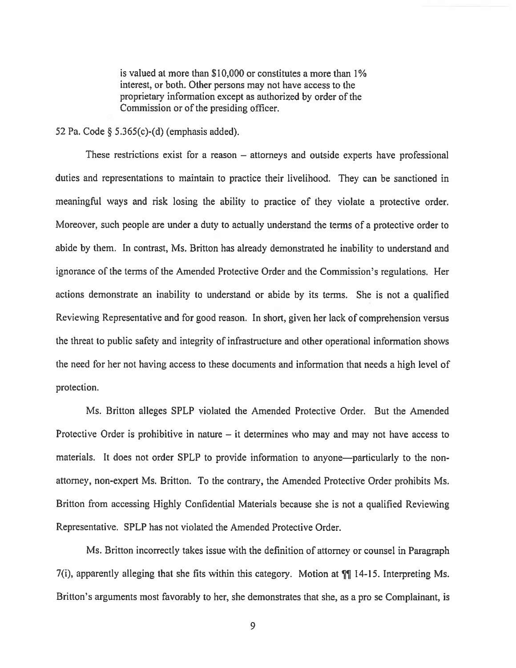is valued at more than \$10,000 or constitutes <sup>a</sup> more than 1% interest, or both. Other persons may not have access to the proprietary information excep<sup>t</sup> as authorized by order of the Commission or of the presiding officer.

#### <sup>52</sup> Pa. Code § 5.365(c)-(d) (emphasis added).

These restrictions exist for <sup>a</sup> reason — attorneys and outside experts have professional duties and representations to maintain to practice their livelihood. They can be sanctioned in meaningful ways and risk losing the ability to practice of they violate a protective order. Moreover, such people are under a duty to actually understand the terms of a protective order to abide by them. In contrast, Ms. Britton has already demonstrated he inability to understand and ignorance of the terms of the Amended Protective Order and the Commission's regulations. Her actions demonstrate an inability to understand or abide by its terms. She is not <sup>a</sup> qualified Reviewing Representative and for good reason. In short, given her lack of comprehension versus the threat to public safety and integrity of infrastructure and other operational information shows the need for her not having access to these documents and information that needs <sup>a</sup> high level of protection.

Ms. Britton alleges SPLP violated the Amended Protective Order. But the Amended Protective Order is prohibitive in nature — it determines who may and may not have access to materials. It does not order SPLP to provide information to anyone—particularly to the nonattorney, non-exper<sup>t</sup> Ms. Britton. To the contrary, the Amended Protective Order prohibits Ms. Britton from accessing Highly Confidential Materials because she is not <sup>a</sup> qualified Reviewing Representative. SPLP has not violated the Amended Protective Order,

Ms. Britton incorrectly takes issue with the definition of attorney or counsel in Paragraph 7(i), apparently alleging that she fits within this category. Motion at ¶ 14-15. Interpreting Ms. Britton's arguments most favorably to her, she demonstrates that she, as <sup>a</sup> pro se Complainant, is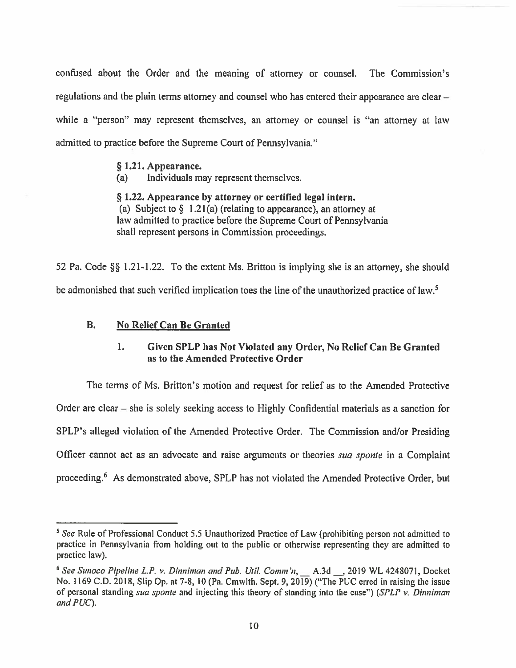confused about the Order and the meaning of attorney or counsel. The Commission's regulations and the plain terms attorney and counsel who has entered their appearance are clear while a "person" may represent themselves, an attorney or counsel is "an attorney at law admitted to practice before the Supreme Court of Pennsylvania."

#### § 1.21. Appearance.

(a) Individuals may represen<sup>t</sup> themselves.

§ 1.22. Appearance by attorney or certified legal intern. (a) Subject to  $\S$  1.21(a) (relating to appearance), an attorney at law admitted to practice before the Supreme Court of Pennsylvania shall represen<sup>t</sup> persons in Commission proceedings.

52 Pa. Code  $\S$ § 1.21-1.22. To the extent Ms. Britton is implying she is an attorney, she should be admonished that such verified implication toes the line of the unauthorized practice of law.<sup>5</sup>

# B. No Relief Can Be Granted

# 1. Given SPLP has Not Violated any Order, No Relief Can Be Granted as to the Amended Protective Order

The terms of Ms. Britton's motion and reques<sup>t</sup> for relief as to the Amended Protective Order are clear — she is solely seeking access to Highly Confidential materials as <sup>a</sup> sanction for SPLP's alleged violation of the Amended Protective Order. The Commission and/or Presiding Officer cannot act as an advocate and raise arguments or theories sua sponte in a Complaint proceeding.<sup>6</sup> As demonstrated above, SPLP has not violated the Amended Protective Order, but

 $<sup>5</sup>$  See Rule of Professional Conduct 5.5 Unauthorized Practice of Law (prohibiting person not admitted to</sup> practice in Pennsylvania from holding out to the public or otherwise representing they are admitted to practice law).

 $6$  See Sunoco Pipeline L.P. v. Dinniman and Pub. Util. Comm'n,  $\Box$  A.3d  $\Box$ , 2019 WL 4248071, Docket No. 1169 C.D. 2018, Slip Op. at 7-8, 10 (Pa. Cmwlth. Sept. 9, 2019) ("The PUC erred in raising the issue of personal standing sua sponte and injecting this theory of standing into the case") (SPLP v. Dinniman and PUC).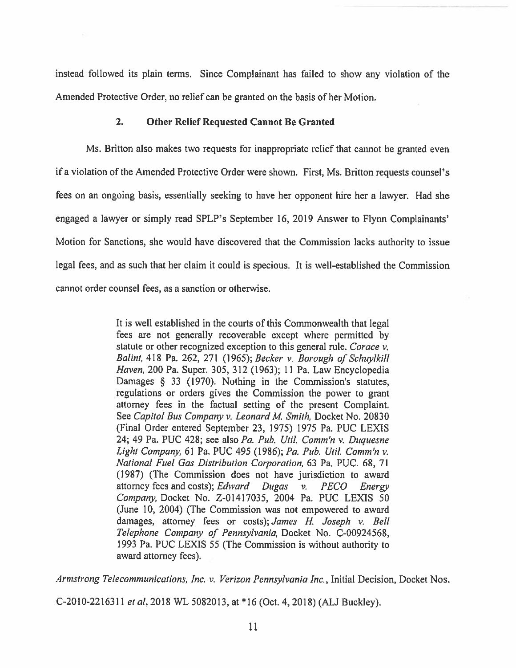instead followed its <sup>p</sup>lain terms. Since Complainant has failed to show any violation of the Amended Protective Order, no relief can be granted on the basis of her Motion.

### 2. Other Relief Requested Cannot Be Granted

Ms. Britton also makes two requests for inappropriate relief that cannot be granted even if <sup>a</sup> violation of the Amended Protective Order were shown. First, Ms. Britton requests counsel's fees on an ongoing basis, essentially seeking to have her opponen<sup>t</sup> hire her <sup>a</sup> lawyer. Had she engaged <sup>a</sup> lawyer or simply read SPLP's September 16, 2019 Answer to Flynn Complainants' Motion for Sanctions, she would have discovered that the Commission lacks authority to issue legal fees, and as such that her claim it could is specious. It is well-established the Commission cannot order counsel fees, as <sup>a</sup> sanction or otherwise.

> It is well established in the courts of this Commonwealth that legal fees are not generally recoverable excep<sup>t</sup> where permitted by statute or other recognized exception to this general rule. Corace v. Balint, 418 Pa. 262, 271 (1965); Becker v. Borough of Schuylkill Haven, 200 Pa. Super. 305, 312 (1963); 11 Pa. Law Encyclopedia Damages § <sup>33</sup> (1970). Nothing in the Commission's statutes, regulations or orders gives the Commission the power to gran<sup>t</sup> attorney fees in the factual setting of the presen<sup>t</sup> Complaint. See Capitol Bus Company v. Leonard M. Smith, Docket No. 20830 (Final Order entered September 23, 1975) 1975 Pa. PUC LEXIS 24; 49 Pa. PUC 428; see also Pa. Pub. Util. Comm'n v. Duquesne Light Company, 61 Pa. PUC 495 (1986); Pa. Pub. Util. Comm'n v. National Fuel Gas Distribution Corporation, 63 Pa. PUC. 68, 71 (1987) (The Commission does not have jurisdiction to award attorney fees and costs); Edward Dugas  $v$ . PECO Energy Company, Docket No. Z-01417035, 2004 Pa. PUC LEXIS 50 (June 10, 2004) (The Commission was not empowered to avard damages, attorney fees or costs); James H. Joseph v. Bell Telephone Company of Pennsylvania, Docket No. C-00924568, 1993 Pa. PUC LEXIS 55 (The Commission is without authority to award attorney fees).

Armstrong Telecommunications, Inc. v. Verizon Pennsylvania Inc., Initial Decision, Docket Nos.

C-2010-2216311 et al, 2018 WL 5082013, at \*16 (Oct. 4, 2018) (ALJ Buckley).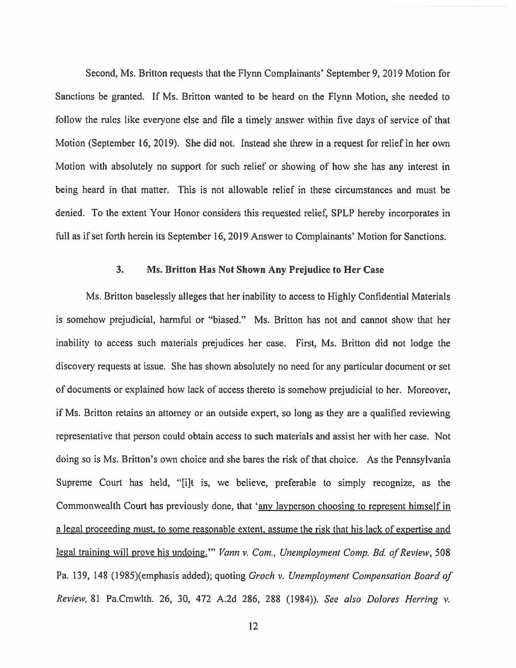Second, Ms. Britton requests that the Flynn Complainants' September 9, 2019 Motion for Sanctions be granted. If Ms. Britton wanted to be heard on the Flynn Motion, she needed to follow the rules like everyone else and file <sup>a</sup> timely answer within five days of service of that Motion (September 16, 2019). She did not. Instead she threw in <sup>a</sup> reques<sup>t</sup> for relief in her own Motion with absolutely no suppor<sup>t</sup> for such relief or showing of how she has any interest in being heard in that matter. This is not allowable relief in these circumstances and must be denied. To the extent Your Honor considers this requested relief, SPLP hereby incorporates in full as if set forth herein its September 16, 2019 Answer to Complainants' Motion for Sanctions.

#### 3. Ms. Britton Has Not Shown Any Prejudice to Her Case

Ms. Britton baselessly alleges that her inability to access to Highly Confidential Materials is somehow prejudicial, harmful or "biased." Ms. Britton has not and cannot show that her inability to access such materials prejudices her case. First, Ms. Britton did not lodge the discovery requests at issue. She has shown absolutely no need for any particular document or set of documents or explained how lack of access thereto is somehow prejudicial to her. Moreover, if Ms. Britton retains an attorney or an outside expert, so long as they are <sup>a</sup> qualified reviewing representative that person could obtain access to such materials and assist her with her case. Not doing so is Ms. Britton's own choice and she bares the risk of that choice. As the Pennsylvania Supreme Court has held, "[i]t is, we believe, preferable to simply recognize, as the Commonwealth Court has previously done, that 'any layperson choosing to represent himself in <sup>a</sup> legal proceeding must, to some reasonable extent, assume the risk that his lack of expertise and legal training will prove his undoing." Vann v. Com., Unemployment Comp. Bd. of Review, 508 Pa. 139, 148 (1985)(emphasis added); quoting Groch v. Unemployment Compensation Board of Review, 81 Pa.Cmwlth. 26, 30, 472 A.2d 286, 288 (1984)). See also Dolores Herring v.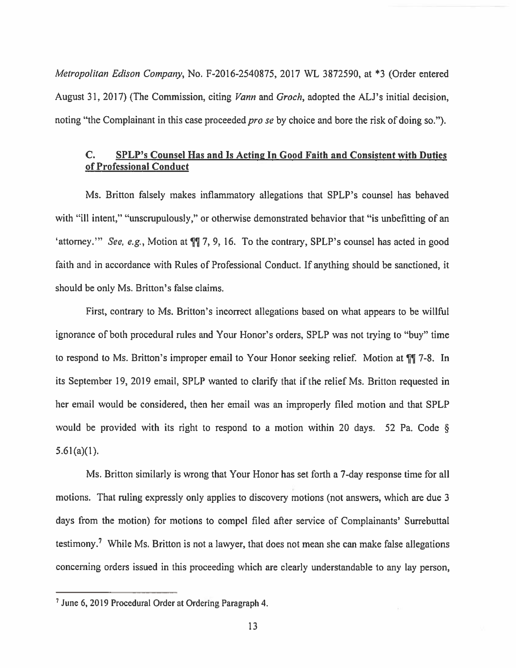Metropolitan Edison Company, No. F-2016-2540875, <sup>2017</sup> WL 3872590, at \*3 (Order entered August 31, 2017) (The Commission, citing *Vann* and *Groch*, adopted the ALJ's initial decision, noting "the Complainant in this case proceeded *pro se* by choice and bore the risk of doing so.").

# C. SPLP's Counsel Has and Is Acting In Good Faith and Consistent with Duties of Professional Conduct

Ms. Britton falsely makes inflammatory allegations that SPLP's counsel has behaved with "ill intent," "unscrupulously," or otherwise demonstrated behavior that "is unbefitting of an 'attorney.'" See, e.g., Motion at  $\P$  7, 9, 16. To the contrary, SPLP's counsel has acted in good faith and in accordance with Rules of Professional Conduct. If anything should be sanctioned, it should be only Ms. Britton's false claims.

First, contrary' to Ms. Britton's incorrect allegations based on what appears to be willful ignorance of both procedural rules and Your Honor's orders, SPLP was not trying to "buy" time to respond to Ms. Britton's improper email to Your Honor seeking relief. Motion at  $\P$ [17-8. In its September 19, 2019 email, SPLP wanted to clarify that if the relief Ms. Britton requested in her email would be considered, then her email was an improperly filed motion and that SPLP would be provided with its right to respon<sup>d</sup> to <sup>a</sup> motion within <sup>20</sup> days. <sup>52</sup> Pa. Code §  $5.61(a)(1)$ .

Ms. Britton similarly is wrong that Your Honor has set forth <sup>a</sup> 7-day response time for all motions. That ruling expressly only applies to discovery motions (not answers, which are due 3 days from the motion) for motions to compel filed after service of Complainants' Surrebuttal testimony.<sup>7</sup> While Ms. Britton is not a lawyer, that does not mean she can make false allegations concerning orders issued in this proceeding which are clearly understandable to any lay person,

<sup>&</sup>lt;sup>7</sup> June 6, 2019 Procedural Order at Ordering Paragraph 4.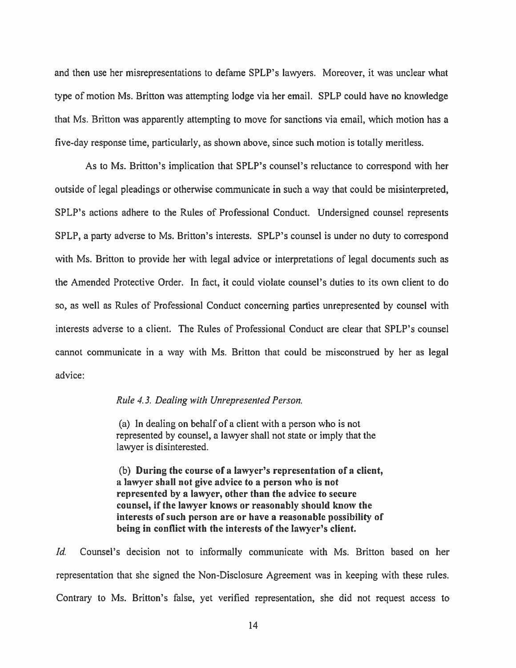and then use her misrepresentations to defame SPLP's lawyers. Moreover, it was unclear what type of motion Ms. Brifton was attempting lodge via her email. SPLP could have no knowledge that Ms. Britton was apparently attempting to move for sanctions via email, which motion has <sup>a</sup> five-day response time, particularly, as shown above, since such motion is totally meritless.

As to Ms. Britton's implication that SPLP's counsel's reluctance to correspond with her outside of legal pleadings or otherwise communicate in such <sup>a</sup> way that could be misinterpreted, SPLP's actions adhere to the Rules of Professional Conduct. Undersigned counsel represents SPLP, <sup>a</sup> party adverse to Ms. Britton's interests. SPLP's counsel is under no duty to correspond with Ms. Britton to provide her with legal advice or interpretations of legal documents such as the Amended Protective Order. In fact, it could violate counsel's duties to its own client to do so, as well as Rules of Professional Conduct concerning parties unrepresented by counsel with interests adverse to <sup>a</sup> client. The Rules of Professional Conduct are clear that SPLP's counsel cannot communicate in <sup>a</sup> way with Ms. Britton that could be misconstrued by her as legal advice:

#### Rule 4.3. Dealing with Unrepresented Person.

(a) In dealing on behalf of <sup>a</sup> client with <sup>a</sup> person who is not represented by counsel, <sup>a</sup> lawyer shall not state or imply that the lawyer is disinterested.

(b) During the course of <sup>a</sup> lawyer's representation of <sup>a</sup> client, <sup>a</sup> lawyer shall not give advice to <sup>a</sup> person who is not represented by <sup>a</sup> lawyer, other than the advice to secure counsel, if the lawyer knows or reasonably should know the interests of such person are or have <sup>a</sup> reasonable possibility of being in conflict with the interests of the lawyer's client.

Id. Counsel's decision not to informally communicate with Ms. Britton based on her representation that she signed the Non-Disclosure Agreement was in keeping with these rules. Contrary to Ms. Britton's false, ye<sup>t</sup> verified representation, she did not reques<sup>t</sup> access to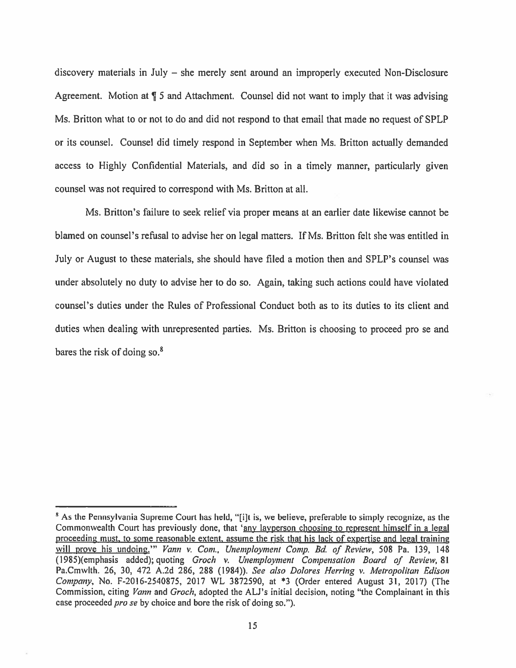discovery materials in July — she merely sent around an improperly executed Non-Disclosure Agreement. Motion at ¶ <sup>5</sup> and Attachment. Counsel did not want to imply that it was advising Ms. Britton what to or not to do and did not respond to that email that made no reques<sup>t</sup> of SPLP or its counsel. Counsel did timely respond in September when Ms. Britton actually demanded access to Highly Confidential Materials, and did so in <sup>a</sup> timely manner, particularly given counsel was not required to correspond with Ms. Britton at all.

Ms. Britton's failure to seek relief via proper means at an earlier date likewise cannot be blamed on counsel's refusal to advise her on legal matters. If Ms. Brifton felt she was entitled in July or August to these materials, she should have filed <sup>a</sup> motion then and SPLP's counsel was under absolutely no duty to advise her to do so. Again, taking such actions could have violated counsel's duties under the Rules of Professional Conduct both as to its duties to its client and duties when dealing with unrepresented parties. Ms. Britton is choosing to proceed pro se and bares the risk of doing so. $8$ 

<sup>&</sup>lt;sup>8</sup> As the Pennsylvania Supreme Court has held, "[i]t is, we believe, preferable to simply recognize, as the Commonwealth Court has previously done, that 'any lavperson choosing to represen<sup>t</sup> himself in <sup>a</sup> legal proceeding must, to some reasonable extent, assume the risk that his lack of expertise and legal training will prove his undoing." Vann v. Com., Unemployment Comp. Bd. of Review, 508 Pa. 139, 148 (1985)(emphasis added); quoting Groch v. Unemployment Compensation Board of Review, 81 Pa.Cmwlth. 26, 30, 472 A.2d 286, 288 (1984)). See also Dolores Herring v. Metropolitan Edison Company, No. F-2016-2540875, <sup>2017</sup> WL 3872590, at \*3 (Order entered August 31, 2017) (The Commission, citing Vann and Groch, adopted the ALJ's initial decision, noting "the Complainant in this case proceeded *pro se* by choice and bore the risk of doing so.").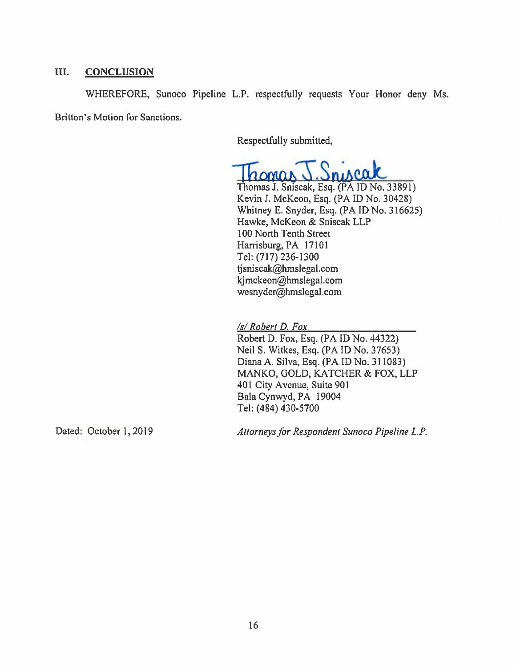# III. CONCLUSION

WHEREFORE, Sunoco Pipeline L.P. respectfully requests Your Honor deny Ms. Britton's Motion for Sanctions.

Respectfully submitted,

Sniscak

Thomas J. Sniscak, Esq. (PA ID No. 33891) Kevin J. McKeon, Esq. (PAID No. 30428) Whitney E. Snyder, Esq. (PA ID No. 316625) Hawke, MeKeon & Sniscak LLP 100 North Tenth Street Harrisburg, PA 17101 Tel: (717) 236-1300 tjsniscak@hmslegal.com kjmckeon@hmslegal.com wesnyder@hmslegal.com

/s/ Robert D. Fox

Robert D. Fox, Esq. (PA ID No. 44322) Neil S. Witkes, Esq. (PA ID No. 37653) Diana A. Silva, Esq. (PA ID No. 311083) MANKO, GOLD, KATCHER & FOX, LLP 401 City Avenue, Suite 901 Bala Cynwyd, PA 19004 Tel: (484) 430-5700

Dated: October 1, 2019 Attorneys for Respondent Sunoco Pipeline L.P.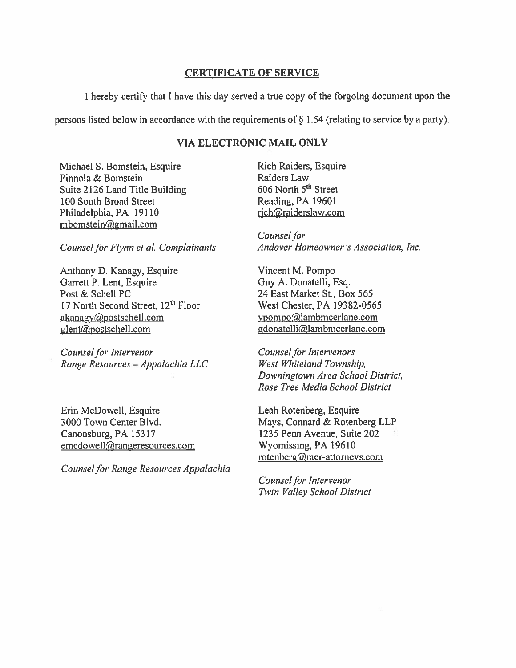# CERTIFICATE OF SERVICE

<sup>I</sup> hereby certify that <sup>I</sup> have this day served <sup>a</sup> true copy of the forgoing document upon the

persons listed below in accordance with the requirements of § 1.54 (relating to service by <sup>a</sup> party).

# VIA ELECTRONIC MAIL ONLY

Michael S. Bomstein, Esquire Rich Raiders, Esquire Pinnola & Bomstein Raiders Law Suite 2126 Land Title Building 606 North 5<sup>th</sup> Street 100 South Broad Street Reading, PA 19601 Philadelphia, PA 19110 rich@raiderslaw.com mbomstein@gmail.com

Anthony D. Kanagy, Esquire Vincent M. Pompo Garrett P. Lent, Esquire Guy A. Donatelli, Esq. Post & Schell PC 24 East Market St., Box 565 17 North Second Street, 12<sup>th</sup> Floor West Chester, PA 19382-0565 akanagy@postschell.com vpompo@lambmcerlane.com glent@postschell.com gdonatelli@lambmcerlane.com

Counsel for Intervenor Counsel for Intervenors Range Resources - Appalachia LLC West Whiteland Township,

Erin McDowell, Esquire Leah Rotenberg, Esquire Canonsburg, PA 15317 1235 Penn Avenue, Suite 202 emcdowell@rangeresources.com Wyomissing, PA 19610

Counsel for Range Resources Appalachia

Counsel for Counsel for Flynn et al. Complainants Andover Homeowner's Association, Inc.

Downingtown Area School District, Rose Tree Media School District

3000 Town Center Blvd. Mays, Connard & Rotenberg LLP rotenberg@mcr-attorneys.com

> Counsel for Intervenor Twin Valley School District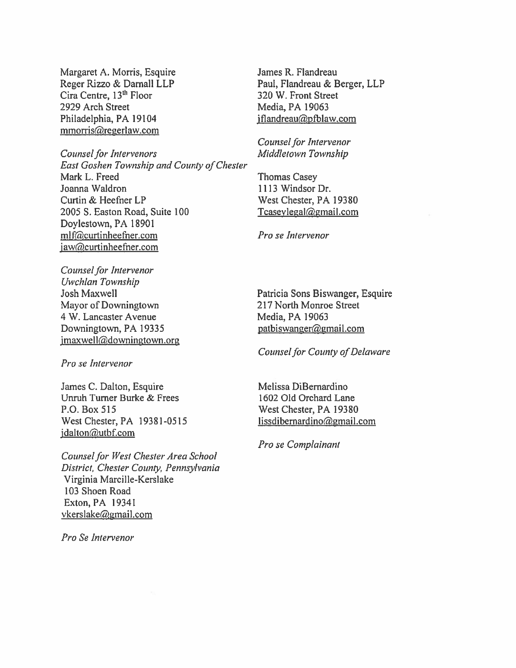Margaret A. Morris, Esquire Reger Rizzo & Darnall LLP Cira Centre, 13<sup>th</sup> Floor 2929 Arch Street Philadelphia, PA 19104 mmorris@regerlaw.com

Counsel for Intervenors East Goshen Township and County of Chester Mark L. Freed Joanna Waldron Curtin & Heefner LP 2005 5. Easton Road, Suite 100 Doylestown, PA 18901 mlf@curtinheefner.com jaw@curtinheefner.com

James R. Flandreau Paul, Flandreau & Berger, LLP 320 W. Front Street Media, PA 19063  $iflandreau@pfblaw.com$ 

Counsel for Intervenor Middletown Township

Thomas Casey 1113 Windsor Dr. West Chester, PA 19380 Tcaseylegal@gmail.com

Pro se Intervenor

Counsel for Intervenor Uwchlan Township Josh Maxwell Mayor of Downingtown 4 W. Lancaster Avenue Downingtown, PA 19335 jmaxwell@downingtown.org

Pro se Intervenor

James C, Dalton, Esquire Unruh Turner Burke & Frees P.O. Box 515 West Chester, PA 19381-0515  $j$ dalton@utbf.com

Counsel for West Chester Area School District, Chester County, Pennsylvania Virginia Marcille-Kerslake 103 Shoen Road Exton,PA 19341 vkerslake@gmail.com

Pro Sc Intervenor

Patricia Sons Biswanger, Esquire 217 North Monroe Street Media, PA 19063 patbiswanger@gmail.com

Counsel for County of Delaware

Melissa DiBernardino 1602 Old Orchard Lane West Chester, PA 19380  $lissdibernardino@gmail.com$ 

Pro se Complainant